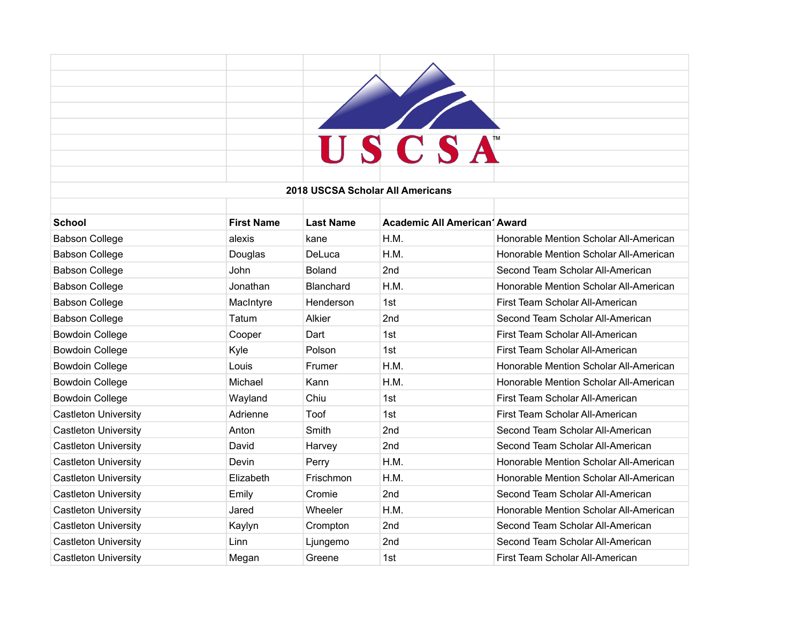|                             |                   |                  | USCSA                               |                                        |
|-----------------------------|-------------------|------------------|-------------------------------------|----------------------------------------|
|                             |                   |                  |                                     |                                        |
|                             |                   |                  | 2018 USCSA Scholar All Americans    |                                        |
|                             |                   |                  |                                     |                                        |
| <b>School</b>               | <b>First Name</b> | <b>Last Name</b> | <b>Academic All American' Award</b> |                                        |
| <b>Babson College</b>       | alexis            | kane             | H.M.                                | Honorable Mention Scholar All-American |
| <b>Babson College</b>       | Douglas           | DeLuca           | H.M.                                | Honorable Mention Scholar All-American |
| <b>Babson College</b>       | John              | <b>Boland</b>    | 2nd                                 | Second Team Scholar All-American       |
| <b>Babson College</b>       | Jonathan          | Blanchard        | H.M.                                | Honorable Mention Scholar All-American |
| <b>Babson College</b>       | MacIntyre         | Henderson        | 1st                                 | First Team Scholar All-American        |
| <b>Babson College</b>       | Tatum             | Alkier           | 2nd                                 | Second Team Scholar All-American       |
| <b>Bowdoin College</b>      | Cooper            | Dart             | 1st                                 | First Team Scholar All-American        |
| <b>Bowdoin College</b>      | Kyle              | Polson           | 1st                                 | First Team Scholar All-American        |
| <b>Bowdoin College</b>      | Louis             | Frumer           | H.M.                                | Honorable Mention Scholar All-American |
| <b>Bowdoin College</b>      | Michael           | Kann             | H.M.                                | Honorable Mention Scholar All-American |
| <b>Bowdoin College</b>      | Wayland           | Chiu             | 1st                                 | First Team Scholar All-American        |
| <b>Castleton University</b> | Adrienne          | Toof             | 1st                                 | First Team Scholar All-American        |
| <b>Castleton University</b> | Anton             | Smith            | 2nd                                 | Second Team Scholar All-American       |
| <b>Castleton University</b> | David             | Harvey           | 2nd                                 | Second Team Scholar All-American       |
| <b>Castleton University</b> | Devin             | Perry            | H.M.                                | Honorable Mention Scholar All-American |
| <b>Castleton University</b> | Elizabeth         | Frischmon        | H.M.                                | Honorable Mention Scholar All-American |
| <b>Castleton University</b> | Emily             | Cromie           | 2nd                                 | Second Team Scholar All-American       |
| <b>Castleton University</b> | Jared             | Wheeler          | H.M.                                | Honorable Mention Scholar All-American |
| <b>Castleton University</b> | Kaylyn            | Crompton         | 2nd                                 | Second Team Scholar All-American       |
| <b>Castleton University</b> | Linn              | Ljungemo         | 2nd                                 | Second Team Scholar All-American       |
| <b>Castleton University</b> | Megan             | Greene           | 1st                                 | First Team Scholar All-American        |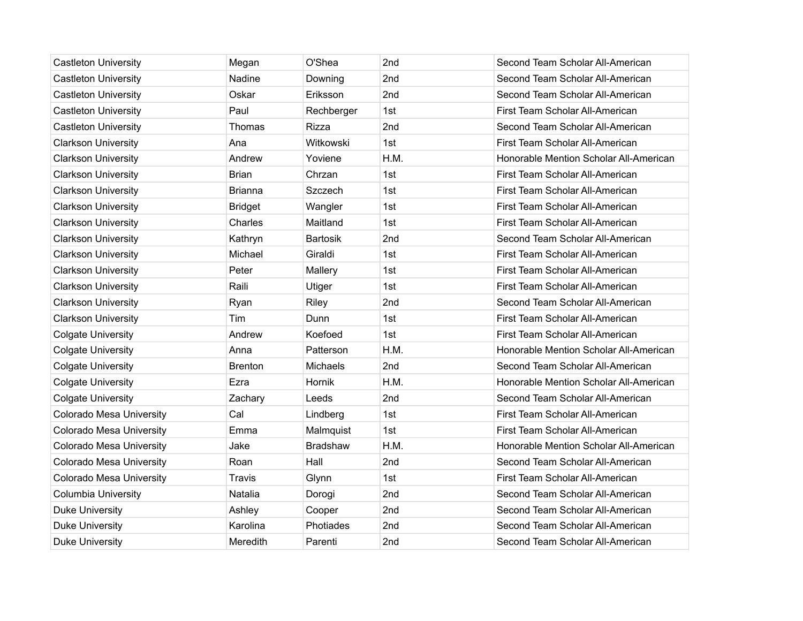| <b>Castleton University</b> | Megan          | O'Shea          | 2nd  | Second Team Scholar All-American       |
|-----------------------------|----------------|-----------------|------|----------------------------------------|
| <b>Castleton University</b> | Nadine         | Downing         | 2nd  | Second Team Scholar All-American       |
| <b>Castleton University</b> | Oskar          | Eriksson        | 2nd  | Second Team Scholar All-American       |
| <b>Castleton University</b> | Paul           | Rechberger      | 1st  | First Team Scholar All-American        |
| <b>Castleton University</b> | Thomas         | Rizza           | 2nd  | Second Team Scholar All-American       |
| <b>Clarkson University</b>  | Ana            | Witkowski       | 1st  | First Team Scholar All-American        |
| <b>Clarkson University</b>  | Andrew         | Yoviene         | H.M. | Honorable Mention Scholar All-American |
| <b>Clarkson University</b>  | <b>Brian</b>   | Chrzan          | 1st  | First Team Scholar All-American        |
| <b>Clarkson University</b>  | <b>Brianna</b> | Szczech         | 1st  | First Team Scholar All-American        |
| <b>Clarkson University</b>  | <b>Bridget</b> | Wangler         | 1st  | First Team Scholar All-American        |
| <b>Clarkson University</b>  | Charles        | Maitland        | 1st  | First Team Scholar All-American        |
| <b>Clarkson University</b>  | Kathryn        | <b>Bartosik</b> | 2nd  | Second Team Scholar All-American       |
| <b>Clarkson University</b>  | Michael        | Giraldi         | 1st  | First Team Scholar All-American        |
| <b>Clarkson University</b>  | Peter          | Mallery         | 1st  | First Team Scholar All-American        |
| <b>Clarkson University</b>  | Raili          | Utiger          | 1st  | First Team Scholar All-American        |
| <b>Clarkson University</b>  | Ryan           | Riley           | 2nd  | Second Team Scholar All-American       |
| <b>Clarkson University</b>  | Tim            | Dunn            | 1st  | First Team Scholar All-American        |
| <b>Colgate University</b>   | Andrew         | Koefoed         | 1st  | First Team Scholar All-American        |
| <b>Colgate University</b>   | Anna           | Patterson       | H.M. | Honorable Mention Scholar All-American |
| <b>Colgate University</b>   | <b>Brenton</b> | Michaels        | 2nd  | Second Team Scholar All-American       |
| <b>Colgate University</b>   | Ezra           | Hornik          | H.M. | Honorable Mention Scholar All-American |
| <b>Colgate University</b>   | Zachary        | Leeds           | 2nd  | Second Team Scholar All-American       |
| Colorado Mesa University    | Cal            | Lindberg        | 1st  | First Team Scholar All-American        |
| Colorado Mesa University    | Emma           | Malmquist       | 1st  | First Team Scholar All-American        |
| Colorado Mesa University    | Jake           | <b>Bradshaw</b> | H.M. | Honorable Mention Scholar All-American |
| Colorado Mesa University    | Roan           | Hall            | 2nd  | Second Team Scholar All-American       |
| Colorado Mesa University    | Travis         | Glynn           | 1st  | First Team Scholar All-American        |
| <b>Columbia University</b>  | Natalia        | Dorogi          | 2nd  | Second Team Scholar All-American       |
| <b>Duke University</b>      | Ashley         | Cooper          | 2nd  | Second Team Scholar All-American       |
| <b>Duke University</b>      | Karolina       | Photiades       | 2nd  | Second Team Scholar All-American       |
| <b>Duke University</b>      | Meredith       | Parenti         | 2nd  | Second Team Scholar All-American       |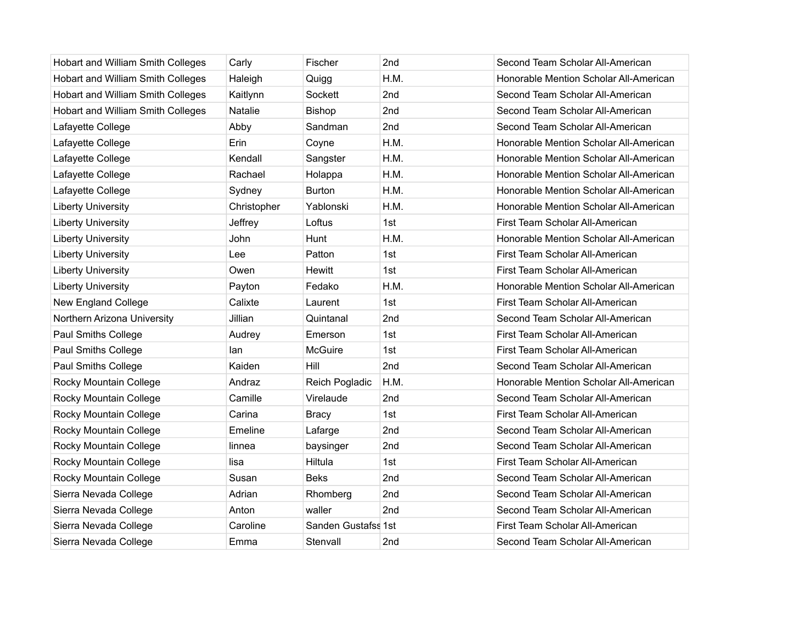| Hobart and William Smith Colleges | Carly       | Fischer             | 2nd  | Second Team Scholar All-American       |
|-----------------------------------|-------------|---------------------|------|----------------------------------------|
| Hobart and William Smith Colleges | Haleigh     | Quigg               | H.M. | Honorable Mention Scholar All-American |
| Hobart and William Smith Colleges | Kaitlynn    | Sockett             | 2nd  | Second Team Scholar All-American       |
| Hobart and William Smith Colleges | Natalie     | <b>Bishop</b>       | 2nd  | Second Team Scholar All-American       |
| Lafayette College                 | Abby        | Sandman             | 2nd  | Second Team Scholar All-American       |
| Lafayette College                 | Erin        | Coyne               | H.M. | Honorable Mention Scholar All-American |
| Lafayette College                 | Kendall     | Sangster            | H.M. | Honorable Mention Scholar All-American |
| Lafayette College                 | Rachael     | Holappa             | H.M. | Honorable Mention Scholar All-American |
| Lafayette College                 | Sydney      | <b>Burton</b>       | H.M. | Honorable Mention Scholar All-American |
| <b>Liberty University</b>         | Christopher | Yablonski           | H.M. | Honorable Mention Scholar All-American |
| <b>Liberty University</b>         | Jeffrey     | Loftus              | 1st  | First Team Scholar All-American        |
| <b>Liberty University</b>         | John        | Hunt                | H.M. | Honorable Mention Scholar All-American |
| <b>Liberty University</b>         | Lee         | Patton              | 1st  | First Team Scholar All-American        |
| <b>Liberty University</b>         | Owen        | <b>Hewitt</b>       | 1st  | First Team Scholar All-American        |
| <b>Liberty University</b>         | Payton      | Fedako              | H.M. | Honorable Mention Scholar All-American |
| New England College               | Calixte     | Laurent             | 1st  | First Team Scholar All-American        |
| Northern Arizona University       | Jillian     | Quintanal           | 2nd  | Second Team Scholar All-American       |
| <b>Paul Smiths College</b>        | Audrey      | Emerson             | 1st  | First Team Scholar All-American        |
| Paul Smiths College               | lan         | <b>McGuire</b>      | 1st  | First Team Scholar All-American        |
| <b>Paul Smiths College</b>        | Kaiden      | Hill                | 2nd  | Second Team Scholar All-American       |
| Rocky Mountain College            | Andraz      | Reich Pogladic      | H.M. | Honorable Mention Scholar All-American |
| Rocky Mountain College            | Camille     | Virelaude           | 2nd  | Second Team Scholar All-American       |
| Rocky Mountain College            | Carina      | <b>Bracy</b>        | 1st  | First Team Scholar All-American        |
| Rocky Mountain College            | Emeline     | Lafarge             | 2nd  | Second Team Scholar All-American       |
| Rocky Mountain College            | linnea      | baysinger           | 2nd  | Second Team Scholar All-American       |
| Rocky Mountain College            | lisa        | Hiltula             | 1st  | First Team Scholar All-American        |
| Rocky Mountain College            | Susan       | <b>Beks</b>         | 2nd  | Second Team Scholar All-American       |
| Sierra Nevada College             | Adrian      | Rhomberg            | 2nd  | Second Team Scholar All-American       |
| Sierra Nevada College             | Anton       | waller              | 2nd  | Second Team Scholar All-American       |
| Sierra Nevada College             | Caroline    | Sanden Gustafss 1st |      | First Team Scholar All-American        |
| Sierra Nevada College             | Emma        | Stenvall            | 2nd  | Second Team Scholar All-American       |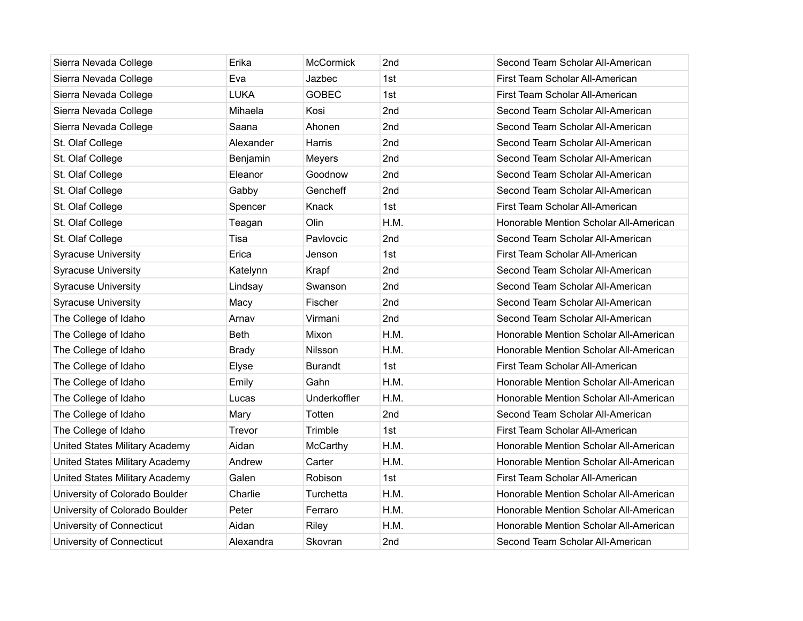| Sierra Nevada College          | Erika        | <b>McCormick</b> | 2nd             | Second Team Scholar All-American       |
|--------------------------------|--------------|------------------|-----------------|----------------------------------------|
| Sierra Nevada College          | Eva          | Jazbec           | 1st             | First Team Scholar All-American        |
| Sierra Nevada College          | <b>LUKA</b>  | <b>GOBEC</b>     | 1st             | First Team Scholar All-American        |
| Sierra Nevada College          | Mihaela      | Kosi             | 2nd             | Second Team Scholar All-American       |
| Sierra Nevada College          | Saana        | Ahonen           | 2nd             | Second Team Scholar All-American       |
| St. Olaf College               | Alexander    | Harris           | 2nd             | Second Team Scholar All-American       |
| St. Olaf College               | Benjamin     | Meyers           | 2nd             | Second Team Scholar All-American       |
| St. Olaf College               | Eleanor      | Goodnow          | 2 <sub>nd</sub> | Second Team Scholar All-American       |
| St. Olaf College               | Gabby        | Gencheff         | 2nd             | Second Team Scholar All-American       |
| St. Olaf College               | Spencer      | Knack            | 1st             | First Team Scholar All-American        |
| St. Olaf College               | Teagan       | Olin             | H.M.            | Honorable Mention Scholar All-American |
| St. Olaf College               | Tisa         | Pavlovcic        | 2nd             | Second Team Scholar All-American       |
| <b>Syracuse University</b>     | Erica        | Jenson           | 1st             | First Team Scholar All-American        |
| <b>Syracuse University</b>     | Katelynn     | Krapf            | 2nd             | Second Team Scholar All-American       |
| <b>Syracuse University</b>     | Lindsay      | Swanson          | 2nd             | Second Team Scholar All-American       |
| <b>Syracuse University</b>     | Macy         | Fischer          | 2nd             | Second Team Scholar All-American       |
| The College of Idaho           | Arnav        | Virmani          | 2nd             | Second Team Scholar All-American       |
| The College of Idaho           | <b>Beth</b>  | Mixon            | H.M.            | Honorable Mention Scholar All-American |
| The College of Idaho           | <b>Brady</b> | <b>Nilsson</b>   | H.M.            | Honorable Mention Scholar All-American |
| The College of Idaho           | Elyse        | <b>Burandt</b>   | 1st             | First Team Scholar All-American        |
| The College of Idaho           | Emily        | Gahn             | H.M.            | Honorable Mention Scholar All-American |
| The College of Idaho           | Lucas        | Underkoffler     | H.M.            | Honorable Mention Scholar All-American |
| The College of Idaho           | Mary         | Totten           | 2nd             | Second Team Scholar All-American       |
| The College of Idaho           | Trevor       | Trimble          | 1st             | First Team Scholar All-American        |
| United States Military Academy | Aidan        | McCarthy         | H.M.            | Honorable Mention Scholar All-American |
| United States Military Academy | Andrew       | Carter           | H.M.            | Honorable Mention Scholar All-American |
| United States Military Academy | Galen        | Robison          | 1st             | First Team Scholar All-American        |
| University of Colorado Boulder | Charlie      | Turchetta        | H.M.            | Honorable Mention Scholar All-American |
| University of Colorado Boulder | Peter        | Ferraro          | H.M.            | Honorable Mention Scholar All-American |
| University of Connecticut      | Aidan        | Riley            | H.M.            | Honorable Mention Scholar All-American |
| University of Connecticut      | Alexandra    | Skovran          | 2nd             | Second Team Scholar All-American       |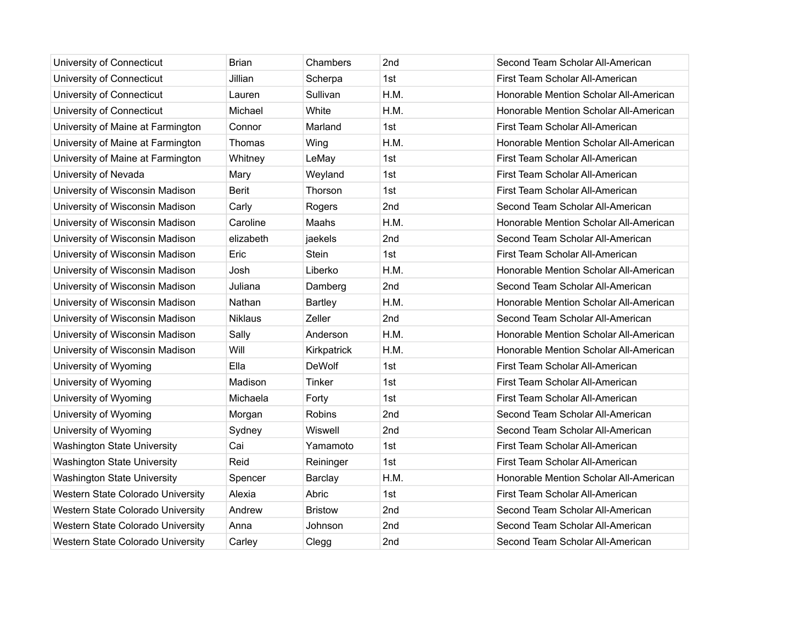| University of Connecticut          | <b>Brian</b>   | Chambers       | 2nd  | Second Team Scholar All-American       |
|------------------------------------|----------------|----------------|------|----------------------------------------|
| University of Connecticut          | Jillian        | Scherpa        | 1st  | First Team Scholar All-American        |
| University of Connecticut          | Lauren         | Sullivan       | H.M. | Honorable Mention Scholar All-American |
| University of Connecticut          | Michael        | White          | H.M. | Honorable Mention Scholar All-American |
| University of Maine at Farmington  | Connor         | Marland        | 1st  | First Team Scholar All-American        |
| University of Maine at Farmington  | Thomas         | Wing           | H.M. | Honorable Mention Scholar All-American |
| University of Maine at Farmington  | Whitney        | LeMay          | 1st  | First Team Scholar All-American        |
| University of Nevada               | Mary           | Weyland        | 1st  | First Team Scholar All-American        |
| University of Wisconsin Madison    | <b>Berit</b>   | Thorson        | 1st  | First Team Scholar All-American        |
| University of Wisconsin Madison    | Carly          | Rogers         | 2nd  | Second Team Scholar All-American       |
| University of Wisconsin Madison    | Caroline       | Maahs          | H.M. | Honorable Mention Scholar All-American |
| University of Wisconsin Madison    | elizabeth      | jaekels        | 2nd  | Second Team Scholar All-American       |
| University of Wisconsin Madison    | Eric           | Stein          | 1st  | First Team Scholar All-American        |
| University of Wisconsin Madison    | Josh           | Liberko        | H.M. | Honorable Mention Scholar All-American |
| University of Wisconsin Madison    | Juliana        | Damberg        | 2nd  | Second Team Scholar All-American       |
| University of Wisconsin Madison    | Nathan         | <b>Bartley</b> | H.M. | Honorable Mention Scholar All-American |
| University of Wisconsin Madison    | <b>Niklaus</b> | Zeller         | 2nd  | Second Team Scholar All-American       |
| University of Wisconsin Madison    | Sally          | Anderson       | H.M. | Honorable Mention Scholar All-American |
| University of Wisconsin Madison    | Will           | Kirkpatrick    | H.M. | Honorable Mention Scholar All-American |
| University of Wyoming              | Ella           | <b>DeWolf</b>  | 1st  | First Team Scholar All-American        |
| University of Wyoming              | Madison        | Tinker         | 1st  | First Team Scholar All-American        |
| University of Wyoming              | Michaela       | Forty          | 1st  | First Team Scholar All-American        |
| University of Wyoming              | Morgan         | Robins         | 2nd  | Second Team Scholar All-American       |
| University of Wyoming              | Sydney         | Wiswell        | 2nd  | Second Team Scholar All-American       |
| <b>Washington State University</b> | Cai            | Yamamoto       | 1st  | First Team Scholar All-American        |
| <b>Washington State University</b> | Reid           | Reininger      | 1st  | First Team Scholar All-American        |
| <b>Washington State University</b> | Spencer        | Barclay        | H.M. | Honorable Mention Scholar All-American |
| Western State Colorado University  | Alexia         | Abric          | 1st  | First Team Scholar All-American        |
| Western State Colorado University  | Andrew         | <b>Bristow</b> | 2nd  | Second Team Scholar All-American       |
| Western State Colorado University  | Anna           | Johnson        | 2nd  | Second Team Scholar All-American       |
| Western State Colorado University  | Carley         | Clegg          | 2nd  | Second Team Scholar All-American       |